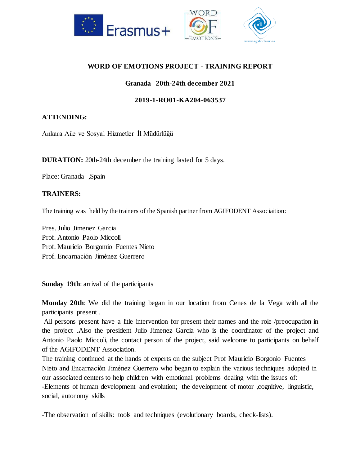

# **WORD OF EMOTIONS PROJECT - TRAINING REPORT**

# **Granada 20th-24th december 2021**

## **2019-1-RO01-KA204-063537**

#### **ATTENDING:**

Ankara Aile ve Sosyal Hizmetler İl Müdürlüğü

**DURATION:** 20th-24th december the training lasted for 5 days.

Place: Granada ,Spain

#### **TRAINERS:**

The training was held by the trainers of the Spanish partner from AGIFODENT Associaition:

Pres. Julio Jimenez Garcia Prof. Antonio Paolo Miccoli Prof. Mauricio Borgomio Fuentes Nieto Prof. Encarnación Jiménez Guerrero

**Sunday 19th**: arrival of the participants

**Monday 20th**: We did the training began in our location from Cenes de la Vega with all the participants present .

All persons present have a litle intervention for present their names and the role /preocupation in the project .Also the president Julio Jimenez Garcia who is the coordinator of the project and Antonio Paolo Miccoli, the contact person of the project, said welcome to participants on behalf of the AGIFODENT Association.

The training continued at the hands of experts on the subject Prof Mauricio Borgonio Fuentes Nieto and Encarnación Jiménez Guerrero who began to explain the various techniques adopted in our associated centers to help children with emotional problems dealing with the issues of: -Elements of human development and evolution; the development of motor ,cognitive, linguistic, social, autonomy skills

-The observation of skills: tools and techniques (evolutionary boards, check-lists).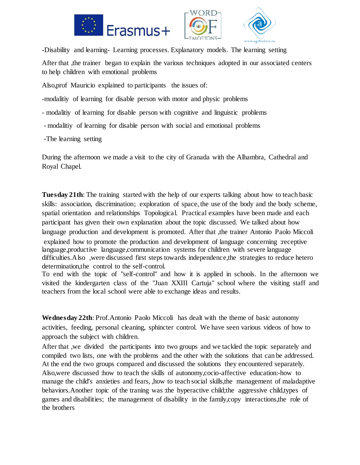





-Disability and learning- Learning processes. Explanatory models. The learning setting After that ,the trainer began to explain the various techniques adopted in our associated centers to help children with emotional problems

Also,prof Mauricio explained to participants the issues of:

-modalitiy of learning for disable person with motor and physic problems

- modalitiy of learning for disable person with cognitive and linguistic problems
- modalitiy of learning for disable person with social and emotional problems
- -The learning setting

During the afternoon we made a visit to the city of Granada with the Alhambra, Cathedral and Royal Chapel.

**Tuesday 21th**: The training started with the help of our experts talking about how to teach basic skills: association, discrimination; exploration of space, the use of the body and the body scheme, spatial orientation and relationships Topological. Practical examples have been made and each participant has given their own explanation about the topic discussed. We talked about how language production and development is promoted. After that , the trainer Antonio Paolo Miccoli explained how to promote the production and development of language concerning :receptive language,productive language,communication systems for children with severe language difficulties.Also ,were discussed first steps towards independence,the strategies to reduce hetero determination,the control to the self-control.

To end with the topic of "self-control" and how it is applied in schools. In the afternoon we visited the kindergarten class of the "Juan XXIII Cartuja" school where the visiting staff and teachers from the local school were able to exchange ideas and results.

**Wednesday 22th**: Prof.Antonio Paolo Miccoli has dealt with the theme of basic autonomy activities, feeding, personal cleaning, sphincter control. We have seen various videos of how to approach the subject with children.

After that ,we divided the participants into two groups and we tackled the topic separately and compiled two lists, one with the problems and the other with the solutions that can be addressed. At the end the two groups compared and discussed the solutions they encountered separately. Also,were discussed :how to teach the skills of autonomy,cocio-affective education:-how to manage the child's anxieties and fears, ,how to teach social skills,the management of maladaptive behaviors. Another topic of the traning was :the hyperactive child; the aggressive child, types of games and disabilities; the management of disability in the family,copy interactions,the role of the brothers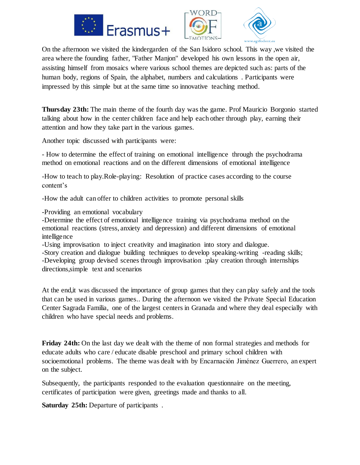





On the afternoon we visited the kindergarden of the San Isidoro school. This way ,we visited the area where the founding father, "Father Manjon" developed his own lessons in the open air, assisting himself from mosaics where various school themes are depicted such as: parts of the human body, regions of Spain, the alphabet, numbers and calculations . Participants were impressed by this simple but at the same time so innovative teaching method.

**Thursday 23th:** The main theme of the fourth day was the game. Prof Mauricio Borgonio started talking about how in the center children face and help each other through play, earning their attention and how they take part in the various games.

Another topic discussed with participants were:

- How to determine the effect of training on emotional intelligence through the psychodrama method on emotional reactions and on the different dimensions of emotional intelligence

-How to teach to play.Role-playing: Resolution of practice cases according to the course content's

-How the adult can offer to children activities to promote personal skills

-Providing an emotional vocabulary

-Determine the effect of emotional intelligence training via psychodrama method on the emotional reactions (stress, anxiety and depression) and different dimensions of emotional intelligence

-Using improvisation to inject creativity and imagination into story and dialogue.

-Story creation and dialogue building techniques to develop speaking-writing -reading skills; -Developing group devised scenes through improvisation ;play creation through internships directions,simple text and scenarios

At the end,it was discussed the importance of group games that they can play safely and the tools that can be used in various games.. During the afternoon we visited the Private Special Education Center Sagrada Familia, one of the largest centers in Granada and where they deal especially with children who have special needs and problems.

**Friday 24th:** On the last day we dealt with the theme of non formal strategies and methods for educate adults who care / educate disable preschool and primary school children with socioemotional problems. The theme was dealt with by Encarnación Jiménez Guerrero, an expert on the subject.

Subsequently, the participants responded to the evaluation questionnaire on the meeting, certificates of participation were given, greetings made and thanks to all.

**Saturday 25th:** Departure of participants.